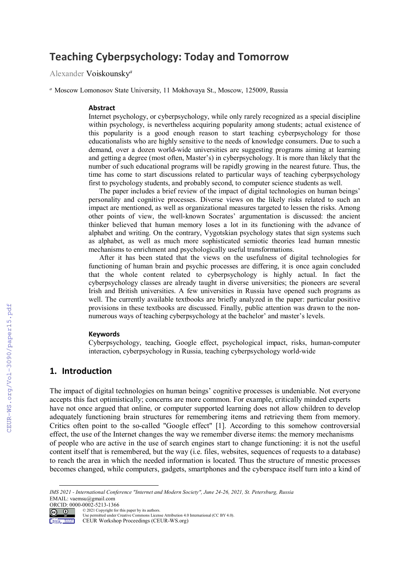# **Teaching Cyberpsychology: Today and Tomorrow**

Alexander Voiskounsky*<sup>a</sup>*

*<sup>a</sup>* Moscow Lomonosov State University, 11 Mokhovaya St., Moscow, 125009, Russia

#### **Abstract**

Internet psychology, or cyberpsychology, while only rarely recognized as a special discipline within psychology, is nevertheless acquiring popularity among students; actual existence of this popularity is a good enough reason to start teaching cyberpsychology for those educationalists who are highly sensitive to the needs of knowledge consumers. Due to such a demand, over a dozen world-wide universities are suggesting programs aiming at learning and getting a degree (most often, Master's) in cyberpsychology. It is more than likely that the number of such educational programs will be rapidly growing in the nearest future. Thus, the time has come to start discussions related to particular ways of teaching cyberpsychology first to psychology students, and probably second, to computer science students as well.

The paper includes a brief review of the impact of digital technologies on human beings' personality and cognitive processes. Diverse views on the likely risks related to such an impact are mentioned, as well as organizational measures targeted to lessen the risks. Among other points of view, the well-known Socrates' argumentation is discussed: the ancient thinker believed that human memory loses a lot in its functioning with the advance of alphabet and writing. On the contrary, Vygotskian psychology states that sign systems such as alphabet, as well as much more sophisticated semiotic theories lead human mnestic mechanisms to enrichment and psychologically useful transformations.

After it has been stated that the views on the usefulness of digital technologies for functioning of human brain and psychic processes are differing, it is once again concluded that the whole content related to cyberpsychology is highly actual. In fact the cyberpsychology classes are already taught in diverse universities; the pioneers are several Irish and British universities. A few universities in Russia have opened such programs as well. The currently available textbooks are briefly analyzed in the paper: particular positive provisions in these textbooks are discussed. Finally, public attention was drawn to the nonnumerous ways of teaching cyberpsychology at the bachelor' and master's levels.

#### **Keywords**

Cyberpsychology, teaching, Google effect, psychological impact, risks, human-computer interaction, cyberpsychology in Russia, teaching cyberpsychology world-wide

#### **1. Introduction**

The impact of digital technologies on human beings' cognitive processes is undeniable. Not everyone accepts this fact optimistically; concerns are more common. For example, critically minded experts have not once argued that online, or computer supported learning does not allow children to develop adequately functioning brain structures for remembering items and retrieving them from memory. Critics often point to the so-called "Google effect" [1]. According to this somehow controversial effect, the use of the Internet changes the way we remember diverse items: the memory mechanisms of people who are active in the use of search engines start to change functioning: it is not the useful content itself that is remembered, but the way (i.e. files, websites, sequences of requests to a database) to reach the area in which the needed information is located. Thus the structure of mnestic processes becomes changed, while computers, gadgets, smartphones and the cyberspace itself turn into a kind of

*IMS 2021 - International Conference "Internet and Modern Society", June 24-26, 2021, St. Petersburg, Russia* EMAIL: vaemsu@gmail.com



© 2021 Copyright for this paper by its authors. Use permitted under Creative Commons License Attribution 4.0 International (CC BY 4.0).

CEUR Workshop Proceedings (CEUR-WS.org)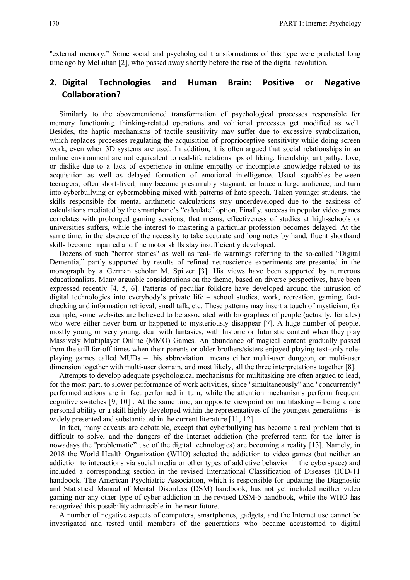"external memory." Some social and psychological transformations of this type were predicted long time ago by McLuhan [2], who passed away shortly before the rise of the digital revolution.

## **2. Digital Technologies and Human Brain: Positive or Negative Collaboration?**

Similarly to the abovementioned transformation of psychological processes responsible for memory functioning, thinking-related operations and volitional processes get modified as well. Besides, the haptic mechanisms of tactile sensitivity may suffer due to excessive symbolization, which replaces processes regulating the acquisition of proprioceptive sensitivity while doing screen work, even when 3D systems are used. In addition, it is often argued that social relationships in an online environment are not equivalent to real-life relationships of liking, friendship, antipathy, love, or dislike due to a lack of experience in online empathy or incomplete knowledge related to its acquisition as well as delayed formation of emotional intelligence. Usual squabbles between teenagers, often short-lived, may become presumably stagnant, embrace a large audience, and turn into cyberbullying or cybermobbing mixed with patterns of hate speech. Taken younger students, the skills responsible for mental arithmetic calculations stay underdeveloped due to the easiness of calculations mediated by the smartphone's "calculate" option. Finally, success in popular video games correlates with prolonged gaming sessions; that means, effectiveness of studies at high-schools or universities suffers, while the interest to mastering a particular profession becomes delayed. At the same time, in the absence of the necessity to take accurate and long notes by hand, fluent shorthand skills become impaired and fine motor skills stay insufficiently developed.

Dozens of such "horror stories" as well as real-life warnings referring to the so-called "Digital Dementia," partly supported by results of refined neuroscience experiments are presented in the monograph by a German scholar M. Spitzer [3]. His views have been supported by numerous educationalists. Many arguable considerations on the theme, based on diverse perspectives, have been expressed recently [4, 5, 6]. Patterns of peculiar folklore have developed around the intrusion of digital technologies into everybody's private life – school studies, work, recreation, gaming, factchecking and information retrieval, small talk, etc. These patterns may insert a touch of mysticism; for example, some websites are believed to be associated with biographies of people (actually, females) who were either never born or happened to mysteriously disappear [7]. A huge number of people, mostly young or very young, deal with fantasies, with historic or futuristic content when they play Massively Multiplayer Online (MMO) Games. An abundance of magical content gradually passed from the still far-off times when their parents or older brothers/sisters enjoyed playing text-only roleplaying games called MUDs – this abbreviation means either multi-user dungeon, or multi-user dimension together with multi-user domain, and most likely, all the three interpretations together [8].

Attempts to develop adequate psychological mechanisms for multitasking are often argued to lead, for the most part, to slower performance of work activities, since "simultaneously" and "concurrently" performed actions are in fact performed in turn, while the attention mechanisms perform frequent cognitive switches [9, 10] . At the same time, an opposite viewpoint on multitasking – being a rare personal ability or a skill highly developed within the representatives of the youngest generations – is widely presented and substantiated in the current literature [11, 12].

In fact, many caveats are debatable, except that cyberbullying has become a real problem that is difficult to solve, and the dangers of the Internet addiction (the preferred term for the latter is nowadays the "problematic" use of the digital technologies) are becoming a reality [13]. Namely, in 2018 the World Health Organization (WHO) selected the addiction to video games (but neither an addiction to interactions via social media or other types of addictive behavior in the cyberspace) and included a corresponding section in the revised International Classification of Diseases (ICD-11 handbook. The American Psychiatric Association, which is responsible for updating the Diagnostic and Statistical Manual of Mental Disorders (DSM) handbook, has not yet included neither video gaming nor any other type of cyber addiction in the revised DSM-5 handbook, while the WHO has recognized this possibility admissible in the near future.

A number of negative aspects of computers, smartphones, gadgets, and the Internet use cannot be investigated and tested until members of the generations who became accustomed to digital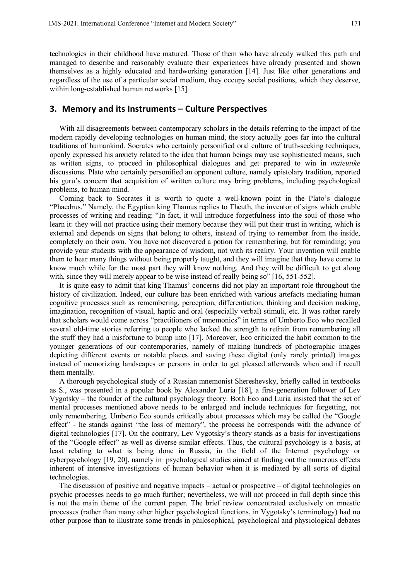technologies in their childhood have matured. Those of them who have already walked this path and managed to describe and reasonably evaluate their experiences have already presented and shown themselves as a highly educated and hardworking generation [14]. Just like other generations and regardless of the use of a particular social medium, they occupy social positions, which they deserve, within long-established human networks [15].

#### **3. Memory and its Instruments – Culture Perspectives**

With all disagreements between contemporary scholars in the details referring to the impact of the modern rapidly developing technologies on human mind, the story actually goes far into the cultural traditions of humankind. Socrates who certainly personified oral culture of truth-seeking techniques, openly expressed his anxiety related to the idea that human beings may use sophisticated means, such as written signs, to proceed in philosophical dialogues and get prepared to win in *maieutike* discussions. Plato who certainly personified an opponent culture, namely epistolary tradition, reported his guru's concern that acquisition of written culture may bring problems, including psychological problems, to human mind.

Coming back to Socrates it is worth to quote a well-known point in the Plato's dialogue "Phaedrus." Namely, the Egyptian king Thamus replies to Theuth, the inventor of signs which enable processes of writing and reading: "In fact, it will introduce forgetfulness into the soul of those who learn it: they will not practice using their memory because they will put their trust in writing, which is external and depends on signs that belong to others, instead of trying to remember from the inside, completely on their own. You have not discovered a potion for remembering, but for reminding; you provide your students with the appearance of wisdom, not with its reality. Your invention will enable them to hear many things without being properly taught, and they will imagine that they have come to know much while for the most part they will know nothing. And they will be difficult to get along with, since they will merely appear to be wise instead of really being so" [16, 551-552].

It is quite easy to admit that king Thamus' concerns did not play an important role throughout the history of civilization. Indeed, our culture has been enriched with various artefacts mediating human cognitive processes such as remembering, perception, differentiation, thinking and decision making, imagination, recognition of visual, haptic and oral (especially verbal) stimuli, etc. It was rather rarely that scholars would come across "practitioners of mnemonics" in terms of Umberto Eco who recalled several old-time stories referring to people who lacked the strength to refrain from remembering all the stuff they had a misfortune to bump into [17]. Moreover, Eco criticized the habit common to the younger generations of our contemporaries, namely of making hundreds of photographic images depicting different events or notable places and saving these digital (only rarely printed) images instead of memorizing landscapes or persons in order to get pleased afterwards when and if recall them mentally.

A thorough psychological study of a Russian mnemonist Shereshevsky, briefly called in textbooks as S., was presented in a popular book by Alexander Luria [18], a first-generation follower of Lev Vygotsky – the founder of the cultural psychology theory. Both Eco and Luria insisted that the set of mental processes mentioned above needs to be enlarged and include techniques for forgetting, not only remembering. Umberto Eco sounds critically about processes which may be called the "Google effect" - he stands against "the loss of memory", the process he corresponds with the advance of digital technologies [17]. On the contrary, Lev Vygotsky's theory stands as a basis for investigations of the "Google effect" as well as diverse similar effects. Thus, the cultural psychology is a basis, at least relating to what is being done in Russia, in the field of the Internet psychology or cyberpsychology [19, 20], namely in psychological studies aimed at finding out the numerous effects inherent of intensive investigations of human behavior when it is mediated by all sorts of digital technologies.

The discussion of positive and negative impacts – actual or prospective – of digital technologies on psychic processes needs to go much further; nevertheless, we will not proceed in full depth since this is not the main theme of the current paper. The brief review concentrated exclusively on mnestic processes (rather than many other higher psychological functions, in Vygotsky's terminology) had no other purpose than to illustrate some trends in philosophical, psychological and physiological debates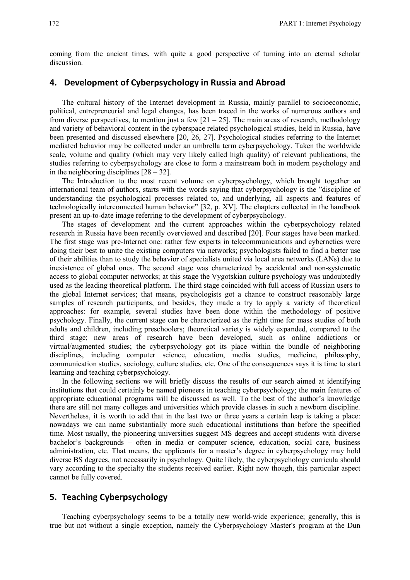coming from the ancient times, with quite a good perspective of turning into an eternal scholar discussion.

### **4. Development of Cyberpsychology in Russia and Abroad**

The cultural history of the Internet development in Russia, mainly parallel to socioeconomic, political, entrepreneurial and legal changes, has been traced in the works of numerous authors and from diverse perspectives, to mention just a few  $[21 - 25]$ . The main areas of research, methodology and variety of behavioral content in the cyberspace related psychological studies, held in Russia, have been presented and discussed elsewhere [20, 26, 27]. Psychological studies referring to the Internet mediated behavior may be collected under an umbrella term cyberpsychology. Taken the worldwide scale, volume and quality (which may very likely called high quality) of relevant publications, the studies referring to cyberpsychology are close to form a mainstream both in modern psychology and in the neighboring disciplines  $[28 - 32]$ .

The Introduction to the most recent volume on cyberpsychology, which brought together an international team of authors, starts with the words saying that cyberpsychology is the "discipline of understanding the psychological processes related to, and underlying, all aspects and features of technologically interconnected human behavior" [32, p. XV]. The chapters collected in the handbook present an up-to-date image referring to the development of cyberpsychology.

The stages of development and the current approaches within the cyberpsychology related research in Russia have been recently overviewed and described [20]. Four stages have been marked. The first stage was pre-Internet one: rather few experts in telecommunications and cybernetics were doing their best to unite the existing computers via networks; psychologists failed to find a better use of their abilities than to study the behavior of specialists united via local area networks (LANs) due to inexistence of global ones. The second stage was characterized by accidental and non-systematic access to global computer networks; at this stage the Vygotskian culture psychology was undoubtedly used as the leading theoretical platform. The third stage coincided with full access of Russian users to the global Internet services; that means, psychologists got a chance to construct reasonably large samples of research participants, and besides, they made a try to apply a variety of theoretical approaches: for example, several studies have been done within the methodology of positive psychology. Finally, the current stage can be characterized as the right time for mass studies of both adults and children, including preschoolers; theoretical variety is widely expanded, compared to the third stage; new areas of research have been developed, such as online addictions or virtual/augmented studies; the cyberpsychology got its place within the bundle of neighboring disciplines, including computer science, education, media studies, medicine, philosophy, communication studies, sociology, culture studies, etc. One of the consequences says it is time to start learning and teaching cyberpsychology.

In the following sections we will briefly discuss the results of our search aimed at identifying institutions that could certainly be named pioneers in teaching cyberpsychology; the main features of appropriate educational programs will be discussed as well. To the best of the author's knowledge there are still not many colleges and universities which provide classes in such a newborn discipline. Nevertheless, it is worth to add that in the last two or three years a certain leap is taking a place: nowadays we can name substantially more such educational institutions than before the specified time. Most usually, the pioneering universities suggest MS degrees and accept students with diverse bachelor's backgrounds – often in media or computer science, education, social care, business administration, etc. That means, the applicants for a master's degree in cyberpsychology may hold diverse BS degrees, not necessarily in psychology. Quite likely, the cyberpsychology curricula should vary according to the specialty the students received earlier. Right now though, this particular aspect cannot be fully covered.

### **5. Teaching Cyberpsychology**

Teaching cyberpsychology seems to be a totally new world-wide experience; generally, this is true but not without a single exception, namely the Cyberpsychology Master's program at the Dun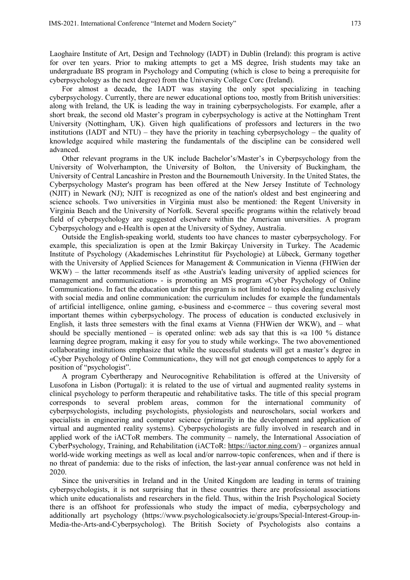Laoghaire Institute of Art, Design and Technology (IADT) in Dublin (Ireland): this program is active for over ten years. Prior to making attempts to get a MS degree, Irish students may take an undergraduate BS program in Psychology and Computing (which is close to being a prerequisite for cyberpsychology as the next degree) from the University College Corc (Ireland).

For almost a decade, the IADT was staying the only spot specializing in teaching cyberpsychology. Currently, there are newer educational options too, mostly from British universities: along with Ireland, the UK is leading the way in training cyberpsychologists. For example, after a short break, the second old Master's program in cyberpsychology is active at the Nottingham Trent University (Nottingham, UK). Given high qualifications of professors and lecturers in the two institutions (IADT and NTU) – they have the priority in teaching cyberpsychology – the quality of knowledge acquired while mastering the fundamentals of the discipline can be considered well advanced.

Other relevant programs in the UK include Bachelor's/Master's in Cyberpsychology from the University of Wolverhampton, the University of Bolton, the University of Buckingham, the University of Central Lancashire in Preston and the Bournemouth University. In the United States, the Cyberpsychology Master's program has been offered at the New Jersey Institute of Technology (NJIT) in Newark (NJ); NJIT is recognized as one of the nation's oldest and best engineering and science schools. Two universities in Virginia must also be mentioned: the Regent University in Virginia Beach and the University of Norfolk. Several specific programs within the relatively broad field of cyberpsychology are suggested elsewhere within the American universities. A program Cyberpsychology and e-Health is open at the University of Sydney, Australia.

Outside the English-speaking world, students too have chances to master cyberpsychology. For example, this specialization is open at the Izmir Bakirçay University in Turkey. The Academic Institute of Psychology (Akademisches Lehrinstitut für Psychologie) at Lübeck, Germany together with the University of Applied Sciences for Management & Communication in Vienna (FHWien der WKW) – the latter recommends itself as «the Austria's leading university of applied sciences for management and communication» - is promoting an MS program «Cyber Psychology of Online Communication». In fact the education under this program is not limited to topics dealing exclusively with social media and online communication: the curriculum includes for example the fundamentals of artificial intelligence, online gaming, e-business and e-commerce – thus covering several most important themes within cyberpsychology. The process of education is conducted exclusively in English, it lasts three semesters with the final exams at Vienna (FHWien der WKW), and – what should be specially mentioned – is operated online: web ads say that this is «a 100 % distance learning degree program, making it easy for you to study while working». The two abovementioned collaborating institutions emphasize that while the successful students will get a master's degree in «Cyber Psychology of Online Communication», they will not get enough competences to apply for a position of "psychologist".

A program Cybertherapy and Neurocognitive Rehabilitation is offered at the University of Lusofona in Lisbon (Portugal): it is related to the use of virtual and augmented reality systems in clinical psychology to perform therapeutic and rehabilitative tasks. The title of this special program corresponds to several problem areas, common for the international community of cyberpsychologists, including psychologists, physiologists and neuroscholars, social workers and specialists in engineering and computer science (primarily in the development and application of virtual and augmented reality systems). Cyberpsychologists are fully involved in research and in applied work of the iACToR members. The community – namely, the International Association of CyberPsychology, Training, and Rehabilitation (iACToR: https://iactor.ning.com/) – organizes annual world-wide working meetings as well as local and/or narrow-topic conferences, when and if there is no threat of pandemia: due to the risks of infection, the last-year annual conference was not held in 2020.

Since the universities in Ireland and in the United Kingdom are leading in terms of training cyberpsychologists, it is not surprising that in these countries there are professional associations which unite educationalists and researchers in the field. Thus, within the Irish Psychological Society there is an offshoot for professionals who study the impact of media, cyberpsychology and additionally art psychology (https://www.psychologicalsociety.ie/groups/Special-Interest-Group-in-Media-the-Arts-and-Cyberpsycholog). The British Society of Psychologists also contains a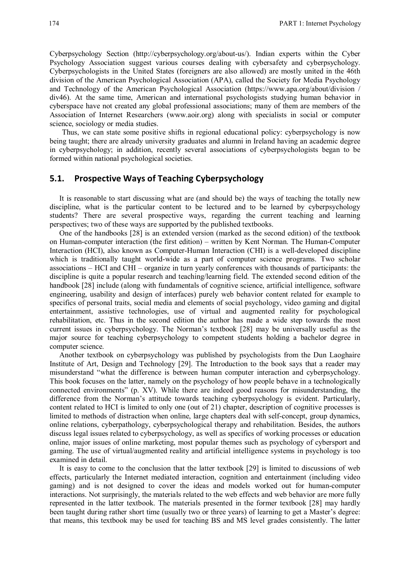Cyberpsychology Section (http://cyberpsychology.org/about-us/). Indian experts within the Cyber Psychology Association suggest various courses dealing with cybersafety and cyberpsychology. Cyberpsychologists in the United States (foreigners are also allowed) are mostly united in the 46th division of the American Psychological Association (APA), called the Society for Media Psychology and Technology of the American Psychological Association (https://www.apa.org/about/division / div46). At the same time, American and international psychologists studying human behavior in cyberspace have not created any global professional associations; many of them are members of the Association of Internet Researchers (www.aoir.org) along with specialists in social or computer science, sociology or media studies.

Thus, we can state some positive shifts in regional educational policy: cyberpsychology is now being taught; there are already university graduates and alumni in Ireland having an academic degree in cyberpsychology; in addition, recently several associations of cyberpsychologists began to be formed within national psychological societies.

#### **5.1. Prospective Ways of Teaching Cyberpsychology**

It is reasonable to start discussing what are (and should be) the ways of teaching the totally new discipline, what is the particular content to be lectured and to be learned by cyberpsychology students? There are several prospective ways, regarding the current teaching and learning perspectives; two of these ways are supported by the published textbooks.

One of the handbooks [28] is an extended version (marked as the second edition) of the textbook on Human-computer interaction (the first edition) – written by Kent Norman. The Human-Computer Interaction (HCI), also known as Computer-Human Interaction (CHI) is a well-developed discipline which is traditionally taught world-wide as a part of computer science programs. Two scholar associations – HCI and CHI – organize in turn yearly conferences with thousands of participants: the discipline is quite a popular research and teaching/learning field. The extended second edition of the handbook [28] include (along with fundamentals of cognitive science, artificial intelligence, software engineering, usability and design of interfaces) purely web behavior content related for example to specifics of personal traits, social media and elements of social psychology, video gaming and digital entertainment, assistive technologies, use of virtual and augmented reality for psychological rehabilitation, etc. Thus in the second edition the author has made a wide step towards the most current issues in cyberpsychology. The Norman's textbook [28] may be universally useful as the major source for teaching cyberpsychology to competent students holding a bachelor degree in computer science.

Another textbook on cyberpsychology was published by psychologists from the Dun Laoghaire Institute of Art, Design and Technology [29]. The Introduction to the book says that a reader may misunderstand "what the difference is between human computer interaction and cyberpsychology. This book focuses on the latter, namely on the psychology of how people behave in a technologically connected environments" (p. XV). While there are indeed good reasons for misunderstanding, the difference from the Norman's attitude towards teaching cyberpsychology is evident. Particularly, content related to HCI is limited to only one (out of 21) chapter, description of cognitive processes is limited to methods of distraction when online, large chapters deal with self-concept, group dynamics, online relations, cyberpathology, cyberpsychological therapy and rehabilitation. Besides, the authors discuss legal issues related to cyberpsychology, as well as specifics of working processes or education online, major issues of online marketing, most popular themes such as psychology of cybersport and gaming. The use of virtual/augmented reality and artificial intelligence systems in psychology is too examined in detail.

It is easy to come to the conclusion that the latter textbook [29] is limited to discussions of web effects, particularly the Internet mediated interaction, cognition and entertainment (including video gaming) and is not designed to cover the ideas and models worked out for human-computer interactions. Not surprisingly, the materials related to the web effects and web behavior are more fully represented in the latter textbook. The materials presented in the former textbook [28] may hardly been taught during rather short time (usually two or three years) of learning to get a Master's degree: that means, this textbook may be used for teaching BS and MS level grades consistently. The latter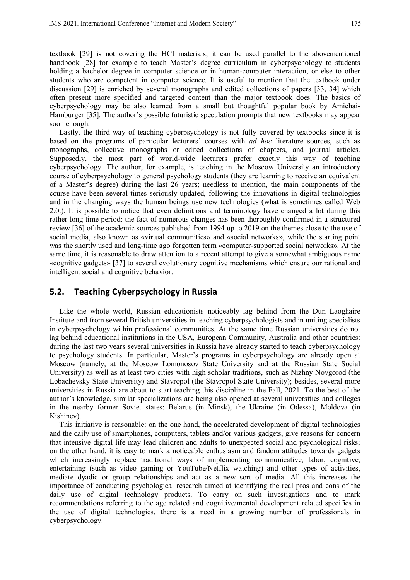textbook [29] is not covering the HCI materials; it can be used parallel to the abovementioned handbook [28] for example to teach Master's degree curriculum in cyberpsychology to students holding a bachelor degree in computer science or in human-computer interaction, or else to other students who are competent in computer science. It is useful to mention that the textbook under discussion [29] is enriched by several monographs and edited collections of papers [33, 34] which often present more specified and targeted content than the major textbook does. The basics of cyberpsychology may be also learned from a small but thoughtful popular book by Amichai-Hamburger [35]. The author's possible futuristic speculation prompts that new textbooks may appear soon enough.

Lastly, the third way of teaching cyberpsychology is not fully covered by textbooks since it is based on the programs of particular lecturers' courses with *ad hoc* literature sources, such as monographs, collective monographs or edited collections of chapters, and journal articles. Supposedly, the most part of world-wide lecturers prefer exactly this way of teaching cyberpsychology. The author, for example, is teaching in the Moscow University an introductory course of cyberpsychology to general psychology students (they are learning to receive an equivalent of a Master's degree) during the last 26 years; needless to mention, the main components of the course have been several times seriously updated, following the innovations in digital technologies and in the changing ways the human beings use new technologies (what is sometimes called Web 2.0.). It is possible to notice that even definitions and terminology have changed a lot during this rather long time period: the fact of numerous changes has been thoroughly confirmed in a structured review [36] of the academic sources published from 1994 up to 2019 on the themes close to the use of social media, also known as «virtual communities» and «social networks», while the starting point was the shortly used and long-time ago forgotten term «computer-supported social networks». At the same time, it is reasonable to draw attention to a recent attempt to give a somewhat ambiguous name «cognitive gadgets» [37] to several evolutionary cognitive mechanisms which ensure our rational and intelligent social and cognitive behavior.

#### **5.2. Teaching Cyberpsychology in Russia**

Like the whole world, Russian educationists noticeably lag behind from the Dun Laoghaire Institute and from several British universities in teaching cyberpsychologists and in uniting specialists in cyberpsychology within professional communities. At the same time Russian universities do not lag behind educational institutions in the USA, European Community, Australia and other countries: during the last two years several universities in Russia have already started to teach cyberpsychology to psychology students. In particular, Master's programs in cyberpsychology are already open at Moscow (namely, at the Moscow Lomonosov State University and at the Russian State Social University) as well as at least two cities with high scholar traditions, such as Nizhny Novgorod (the Lobachevsky State University) and Stavropol (the Stavropol State University); besides, several more universities in Russia are about to start teaching this discipline in the Fall, 2021. To the best of the author's knowledge, similar specializations are being also opened at several universities and colleges in the nearby former Soviet states: Belarus (in Minsk), the Ukraine (in Odessa), Moldova (in Kishinev).

This initiative is reasonable: on the one hand, the accelerated development of digital technologies and the daily use of smartphones, computers, tablets and/or various gadgets, give reasons for concern that intensive digital life may lead children and adults to unexpected social and psychological risks; on the other hand, it is easy to mark a noticeable enthusiasm and fandom attitudes towards gadgets which increasingly replace traditional ways of implementing communicative, labor, cognitive, entertaining (such as video gaming or YouTube/Netflix watching) and other types of activities, mediate dyadic or group relationships and act as a new sort of media. All this increases the importance of conducting psychological research aimed at identifying the real pros and cons of the daily use of digital technology products. To carry on such investigations and to mark recommendations referring to the age related and cognitive/mental development related specifics in the use of digital technologies, there is a need in a growing number of professionals in cyberpsychology.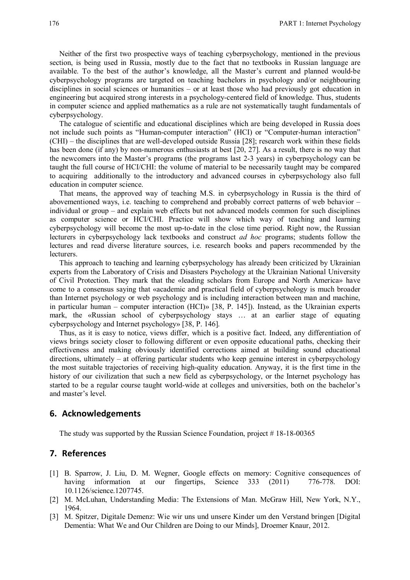Neither of the first two prospective ways of teaching cyberpsychology, mentioned in the previous section, is being used in Russia, mostly due to the fact that no textbooks in Russian language are available. To the best of the author's knowledge, all the Master's current and planned would-be cyberpsychology programs are targeted on teaching bachelors in psychology and/or neighbouring disciplines in social sciences or humanities – or at least those who had previously got education in engineering but acquired strong interests in a psychology-centered field of knowledge. Thus, students in computer science and applied mathematics as a rule are not systematically taught fundamentals of cyberpsychology.

The catalogue of scientific and educational disciplines which are being developed in Russia does not include such points as "Human-computer interaction" (HCI) or "Computer-human interaction" (CHI) – the disciplines that are well-developed outside Russia [28]; research work within these fields has been done (if any) by non-numerous enthusiasts at best [20, 27]. As a result, there is no way that the newcomers into the Master's programs (the programs last 2-3 years) in cyberpsychology can be taught the full course of HCI/CHI: the volume of material to be necessarily taught may be compared to acquiring additionally to the introductory and advanced courses in cyberpsychology also full education in computer science.

That means, the approved way of teaching M.S. in cyberpsychology in Russia is the third of abovementioned ways, i.e. teaching to comprehend and probably correct patterns of web behavior – individual or group – and explain web effects but not advanced models common for such disciplines as computer science or HCI/CHI. Practice will show which way of teaching and learning cyberpsychology will become the most up-to-date in the close time period. Right now, the Russian lecturers in cyberpsychology lack textbooks and construct *ad hoc* programs; students follow the lectures and read diverse literature sources, i.e. research books and papers recommended by the lecturers.

This approach to teaching and learning cyberpsychology has already been criticized by Ukrainian experts from the Laboratory of Crisis and Disasters Psychology at the Ukrainian National University of Civil Protection. They mark that the «leading scholars from Europe and North America» have come to a consensus saying that «academic and practical field of cyberpsychology is much broader than Internet psychology or web psychology and is including interaction between man and machine, in particular human – computer interaction (HCI)» [38, Р. 145]). Instead, as the Ukrainian experts mark, the «Russian school of cyberpsychology stays … at an earlier stage of equating сyberpsychology and Internet psychology» [38, Р. 146].

Thus, as it is easy to notice, views differ, which is a positive fact. Indeed, any differentiation of views brings society closer to following different or even opposite educational paths, checking their effectiveness and making obviously identified corrections aimed at building sound educational directions, ultimately – at offering particular students who keep genuine interest in cyberpsychology the most suitable trajectories of receiving high-quality education. Anyway, it is the first time in the history of our civilization that such a new field as cyberpsychology, or the Internet psychology has started to be a regular course taught world-wide at colleges and universities, both on the bachelor's and master's level.

#### **6. Acknowledgements**

The study was supported by the Russian Science Foundation, project # 18-18-00365

#### **7. References**

- [1] B. Sparrow, J. Liu, D. M. Wegner, Google effects on memory: Cognitive consequences of having information at our fingertips, Science 333 (2011) 776-778. DOI: 10.1126/science.1207745.
- [2] M. McLuhan, Understanding Media: The Extensions of Man. McGraw Hill, New York, N.Y., 1964.
- [3] M. Spitzer, Digitale Demenz: Wie wir uns und unsere Kinder um den Verstand bringen [Digital Dementia: What We and Our Children are Doing to our Minds], Droemer Knaur, 2012.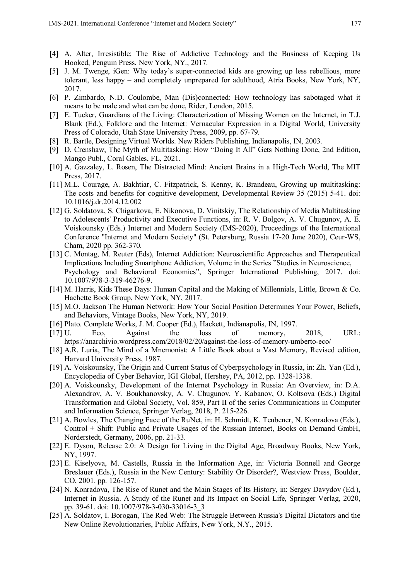- [4] A. Alter, Irresistible: The Rise of Addictive Technology and the Business of Keeping Us Hooked, Penguin Press, New York, NY., 2017.
- [5] J. M. Twenge, iGen: Why today's super-connected kids are growing up less rebellious, more tolerant, less happy – and completely unprepared for adulthood, Atria Books, New York, NY, 2017.
- [6] P. Zimbardo, N.D. Coulombe, Man (Dis)connected: How technology has sabotaged what it means to be male and what can be done, Rider, London, 2015.
- [7] E. Tucker, Guardians of the Living: Characterization of Missing Women on the Internet, in T.J. Blank (Ed.), Folklore and the Internet: Vernacular Expression in a Digital World, University Press of Colorado, Utah State University Press, 2009, pp. 67-79.
- [8] R. Bartle, Designing Virtual Worlds. New Riders Publishing, Indianapolis, IN, 2003.
- [9] D. Crenshaw, The Myth of Multitasking: How "Doing It All" Gets Nothing Done, 2nd Edition, Mango Publ., Coral Gables, FL, 2021.
- [10] A. Gazzaley, L. Rosen, The Distracted Mind: Ancient Brains in a High-Tech World, The MIT Press, 2017.
- [11] M.L. Courage, A. Bakhtiar, C. Fitzpatrick, S. Kenny, K. Brandeau, Growing up multitasking: The costs and benefits for cognitive development, Developmental Review 35 (2015) 5-41. doi: 10.1016/j.dr.2014.12.002
- [12] G. Soldatova, S. Chigarkova, E. Nikonova, D. Vinitskiy, The Relationship of Media Multitasking to Adolescents' Productivity and Executive Functions, in: R. V. Bolgov, A. V. Chugunov, A. E. Voiskounsky (Eds.) Internet and Modern Society (IMS-2020), Proceedings of the International Conference "Internet and Modern Society" (St. Petersburg, Russia 17-20 June 2020), Ceur-WS, Сham, 2020 pp. 362-370.
- [13] C. Montag, M. Reuter (Eds), Internet Addiction: Neuroscientific Approaches and Therapeutical Implications Including Smartphone Addiction, Volume in the Series "Studies in Neuroscience, Psychology and Behavioral Economics", Springer International Publishing, 2017. doi: 10.1007/978-3-319-46276-9.
- [14] M. Harris, Kids These Days: Human Capital and the Making of Millennials, Little, Brown & Co. Hachette Book Group, New York, NY, 2017.
- [15] M.O. Jackson The Human Network: How Your Social Position Determines Your Power, Beliefs, and Behaviors, Vintage Books, New York, NY, 2019.
- [16] Plato. Complete Works, J. M. Cooper (Ed.), Hackett, Indianapolis, IN, 1997.
- [17] U. Eco, Against the loss of memory, 2018, URL: https://anarchivio.wordpress.com/2018/02/20/against-the-loss-of-memory-umberto-eco/
- [18] A.R. Luria, The Mind of a Mnemonist: A Little Book about a Vast Memory, Revised edition, Harvard University Press, 1987.
- [19] A. Voiskounsky, The Origin and Current Status of Cyberpsychology in Russia, in: Zh. Yan (Ed.), Encyclopedia of Cyber Behavior, IGI Global, Hershey, PA, 2012, pp. 1328-1338.
- [20] A. Voiskounsky, Development of the Internet Psychology in Russia: An Overview, in: D.A. Alexandrov, A. V. Boukhanovsky, A. V. Chugunov, Y. Kabanov, O. Koltsova (Eds.) Digital Transformation and Global Society, Vol. 859, Part II of the series Communications in Computer and Information Science, Springer Verlag, 2018, P. 215-226.
- [21] A. Bowles, The Changing Face of the RuNet, in: H. Schmidt, K. Teubener, N. Konradova (Eds.), Control + Shift: Public and Private Usages of the Russian Internet, Books on Demand GmbH, Norderstedt, Germany, 2006, pp. 21-33.
- [22] E. Dyson, Release 2.0: A Design for Living in the Digital Age, Broadway Books, New York, NY, 1997.
- [23] E. Kiselyova, M. Castells, Russia in the Information Age, in: Victoria Bonnell and George Breslauer (Eds.), Russia in the New Century: Stability Or Disorder?, Westview Press, Boulder, CO, 2001. pp. 126-157.
- [24] N. Konradova, The Rise of Runet and the Main Stages of Its History, in: Sergey Davydov (Ed.), Internet in Russia. A Study of the Runet and Its Impact on Social Life, Springer Verlag, 2020, pp. 39-61. doi: 10.1007/978-3-030-33016-3\_3
- [25] A. Soldatov, I. Borogan, The Red Web: The Struggle Between Russia's Digital Dictators and the New Online Revolutionaries, Public Affairs, New York, N.Y., 2015.